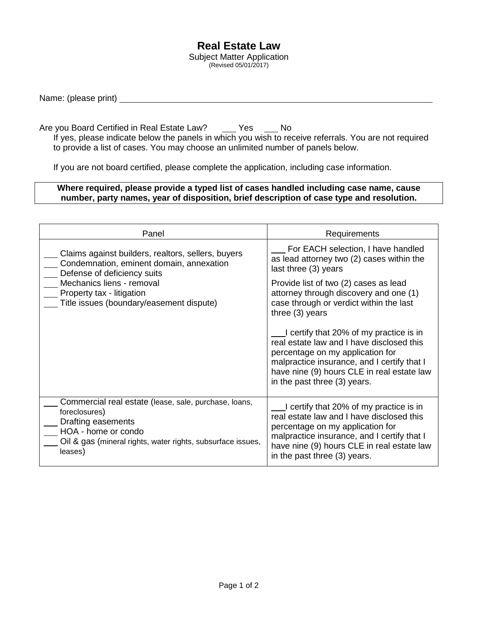## **Real Estate Law**

Subject Matter Application (Revised 05/01/2017)

Name: (please print)

Are you Board Certified in Real Estate Law? \_\_\_\_ Yes \_\_\_\_ No If yes, please indicate below the panels in which you wish to receive referrals. You are not required to provide a list of cases. You may choose an unlimited number of panels below.

If you are not board certified, please complete the application, including case information.

## **Where required, please provide a typed list of cases handled including case name, cause number, party names, year of disposition, brief description of case type and resolution.**

| Panel                                                                                                                                                                                                                               | Requirements                                                                                                                                                                                                                                          |
|-------------------------------------------------------------------------------------------------------------------------------------------------------------------------------------------------------------------------------------|-------------------------------------------------------------------------------------------------------------------------------------------------------------------------------------------------------------------------------------------------------|
| Claims against builders, realtors, sellers, buyers<br>Condemnation, eminent domain, annexation<br>Defense of deficiency suits<br>Mechanics liens - removal<br>Property tax - litigation<br>Title issues (boundary/easement dispute) | For EACH selection, I have handled<br>as lead attorney two (2) cases within the<br>last three (3) years                                                                                                                                               |
|                                                                                                                                                                                                                                     | Provide list of two (2) cases as lead<br>attorney through discovery and one (1)<br>case through or verdict within the last<br>three $(3)$ years                                                                                                       |
|                                                                                                                                                                                                                                     | I certify that 20% of my practice is in<br>real estate law and I have disclosed this<br>percentage on my application for<br>malpractice insurance, and I certify that I<br>have nine (9) hours CLE in real estate law<br>in the past three (3) years. |
| Commercial real estate (lease, sale, purchase, loans,<br>foreclosures)<br>Drafting easements<br>HOA - home or condo<br>Oil & gas (mineral rights, water rights, subsurface issues,<br>leases)                                       | I certify that 20% of my practice is in<br>real estate law and I have disclosed this<br>percentage on my application for<br>malpractice insurance, and I certify that I<br>have nine (9) hours CLE in real estate law<br>in the past three (3) years. |